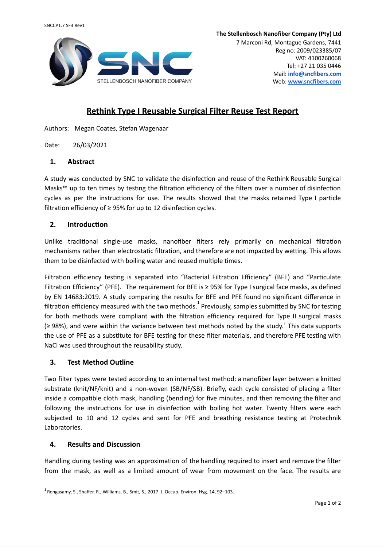

7 Marconi Rd, Montague Gardens, 7441 Reg no: 2009/023385/07 VAT: 4100260068 Tel: +27 21 035 0446 Mail: **info@sncfibers.com** Web: **[www.sncfibers.com](http://www.sncfibers.com/)**

# **Rethink Type I Reusable Surgical Filter Reuse Test Report**

Authors: Megan Coates, Stefan Wagenaar

Date: 26/03/2021

#### **1. Abstract**

A study was conducted by SNC to validate the disinfection and reuse of the Rethink Reusable Surgical Masks™ up to ten times by testing the filtration efficiency of the filters over a number of disinfection cycles as per the instructions for use. The results showed that the masks retained Type I particle filtration efficiency of  $\geq$  95% for up to 12 disinfection cycles.

#### **2.** Introduction

Unlike traditional single-use masks, nanofiber filters rely primarily on mechanical filtration mechanisms rather than electrostatic filtration, and therefore are not impacted by wetting. This allows them to be disinfected with boiling water and reused multiple times.

Filtration efficiency testing is separated into "Bacterial Filtration Efficiency" (BFE) and "Particulate Filtration Efficiency" (PFE). The requirement for BFE is  $\geq$  95% for Type I surgical face masks, as defined by EN 14683:2019. A study comparing the results for BFE and PFE found no significant difference in filtration efficiency measured with the two methods.  ${}^{1}$  Previously, samples submitted by SNC for testing for both methods were compliant with the filtration efficiency required for Type II surgical masks (≥ 98%), and were within the variance between test methods noted by the study.<sup>1</sup> This data supports the use of PFE as a substitute for BFE testing for these filter materials, and therefore PFE testing with NaCl was used throughout the reusability study.

## **3. Test Method Outline**

Two filter types were tested according to an internal test method: a nanofiber layer between a knitted substrate (knit/NF/knit) and a non-woven (SB/NF/SB). Briefly, each cycle consisted of placing a filter inside a compatible cloth mask, handling (bending) for five minutes, and then removing the filter and following the instructions for use in disinfection with boiling hot water. Twenty filters were each subjected to 10 and 12 cycles and sent for PFE and breathing resistance testing at Protechnik Laboratories.

## **4. Results and Discussion**

Handling during testing was an approximation of the handling required to insert and remove the filter from the mask, as well as a limited amount of wear from movement on the face. The results are

 $1$  Rengasamy, S., Shaffer, R., Williams, B., Smit, S., 2017. J. Occup. Environ. Hyg. 14, 92–103.